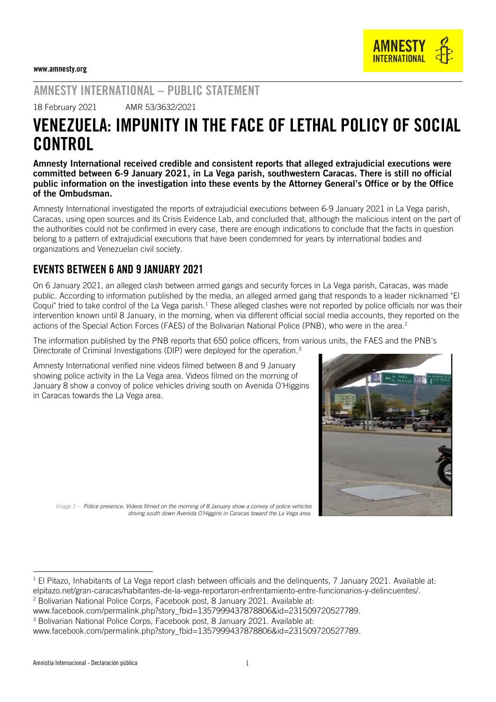

# AMNESTY INTERNATIONAL – PUBLIC STATEMENT

18 February 2021 AMR 53/3632/2021

# VENEZUELA: IMPUNITY IN THE FACE OF LETHAL POLICY OF SOCIAL CONTROL

Amnesty International received credible and consistent reports that alleged extrajudicial executions were committed between 6-9 January 2021, in La Vega parish, southwestern Caracas. There is still no official public information on the investigation into these events by the Attorney General's Office or by the Office of the Ombudsman.

Amnesty International investigated the reports of extrajudicial executions between 6-9 January 2021 in La Vega parish, Caracas, using open sources and its Crisis Evidence Lab, and concluded that, although the malicious intent on the part of the authorities could not be confirmed in every case, there are enough indications to conclude that the facts in question belong to a pattern of extrajudicial executions that have been condemned for years by international bodies and organizations and Venezuelan civil society.

## EVENTS BETWEEN 6 AND 9 JANUARY 2021

On 6 January 2021, an alleged clash between armed gangs and security forces in La Vega parish, Caracas, was made public. According to information published by the media, an alleged armed gang that responds to a leader nicknamed "El Coqui" tried to take control of the La Vega parish.<sup>1</sup> These alleged clashes were not reported by police officials nor was their intervention known until 8 January, in the morning, when via different official social media accounts, they reported on the actions of the Special Action Forces (FAES) of the Bolivarian National Police (PNB), who were in the area. 2

The information published by the PNB reports that 650 police officers, from various units, the FAES and the PNB's Directorate of Criminal Investigations (DIP) were deployed for the operation.<sup>3</sup>

Amnesty International verified nine videos filmed between 8 and 9 January showing police activity in the La Vega area. Videos filmed on the morning of January 8 show a convoy of police vehicles driving south on Avenida O'Higgins in Caracas towards the La Vega area.



*Image 1 – [Police presence: Videos filmed on the morning of 8 January show a convoy of police vehicles](https://twitter.com/OscarPrz365/status/1347556571379867650?s=20)  [driving south down Avenida O'Higgins in Caracas toward the La Vega area.](https://twitter.com/OscarPrz365/status/1347556571379867650?s=20)*

www.facebook.com/permalink.php?story\_fbid=1357999437878806&id=231509720527789.

<sup>3</sup> Bolivarian National Police Corps, Facebook post, 8 January 2021. Available at: [www.facebook.com/permalink.php?story\\_fbid=1357999437878806&id=231509720527789.](http://www.facebook.com/permalink.php?story_fbid=1357999437878806&id=231509720527789)

<sup>&</sup>lt;sup>1</sup> El Pitazo, Inhabitants of La Vega report clash between officials and the delinquents, 7 January 2021. Available at: elpitazo.net/gran-caracas/habitantes-de-la-vega-reportaron-enfrentamiento-entre-funcionarios-y-delincuentes/. <sup>2</sup> Bolivarian National Police Corps, Facebook post, 8 January 2021. Available at: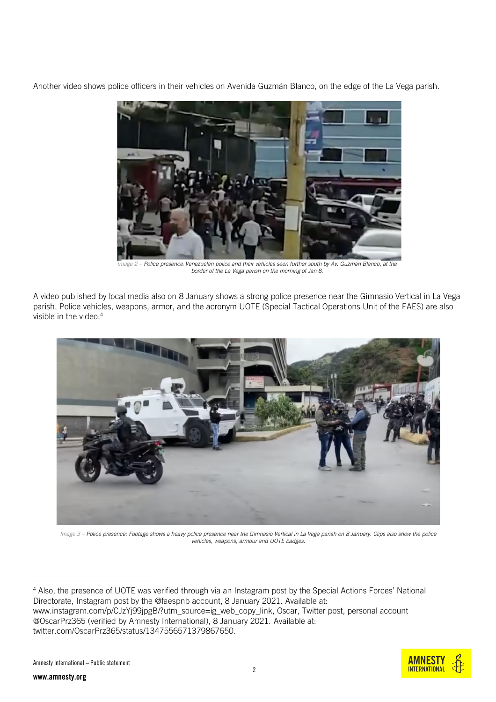Another video shows police officers in their vehicles on Avenida Guzmán Blanco, on the edge of the La Vega parish.



*Image 2 – Police presence: [Venezuelan police and their vehicles seen further south by Av. Guzmán Blanco, at the](https://twitter.com/CronicaUno/status/1347564119973634048)  [border of the La Vega parish on the morning of Jan 8.](https://twitter.com/CronicaUno/status/1347564119973634048)*

A video published by local media also on 8 January shows a strong police presence near the Gimnasio Vertical in La Vega parish. Police vehicles, weapons, armor, and the acronym UOTE (Special Tactical Operations Unit of the FAES) are also visible in the video.<sup>4</sup>



*Image 3 – [Police presence: Footage shows a heavy police presence near the Gimnasio Vertical in La Vega parish on 8 January. Clips also show the police](https://www.youtube.com/watch?v=yH1OOcah2rY)  [vehicles, weapons, armour and UOTE badges.](https://www.youtube.com/watch?v=yH1OOcah2rY)*

<sup>4</sup> Also, the presence of UOTE was verified through via an Instagram post by the Special Actions Forces' National Directorate, Instagram post by the @faespnb account, 8 January 2021. Available at: [www.instagram.com/p/CJzYj99jpgB/?utm\\_source=ig\\_web\\_copy\\_link,](https://www.instagram.com/p/CJzYj99jpgB/?utm_source=ig_web_copy_link) Oscar, Twitter post, personal account @OscarPrz365 (verified by Amnesty International), 8 January 2021. Available at: twitter.com/OscarPrz365/status/1347556571379867650.

**AMNFS INTERNATIONAL** 

2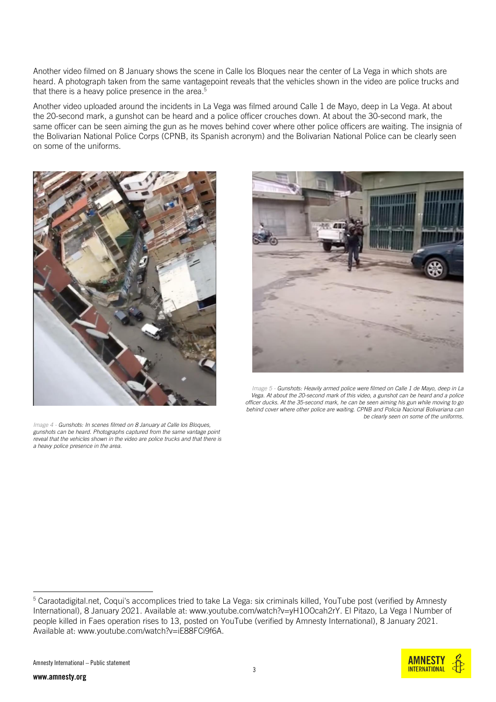Another video filmed on 8 January shows the scene in Calle los Bloques near the center of La Vega in which shots are heard. A photograph taken from the same vantagepoint reveals that the vehicles shown in the video are police trucks and that there is a heavy police presence in the area. $5$ 

Another video uploaded around the incidents in La Vega was filmed around Calle 1 de Mayo, deep in La Vega. At about the 20-second mark, a gunshot can be heard and a police officer crouches down. At about the 30-second mark, the same officer can be seen aiming the gun as he moves behind cover where other police officers are waiting. The insignia of the Bolivarian National Police Corps (CPNB, its Spanish acronym) and the Bolivarian National Police can be clearly seen on some of the uniforms.



*Image 4 - [Gunshots: In scenes filmed on 8 January at Calle](https://twitter.com/isnardobravo/status/1347567192410353664) los Bloques, [gunshots can be heard. Photographs captured from the same vantage point](https://twitter.com/isnardobravo/status/1347567192410353664)  [reveal that the vehicles shown in the video are police trucks and that there is](https://twitter.com/isnardobravo/status/1347567192410353664)  [a heavy police presence in the area.](https://twitter.com/isnardobravo/status/1347567192410353664)*



*Image 5 - [Gunshots: Heavily armed police were filmed on Calle 1 de Mayo, deep in La](https://www.youtube.com/watch?v=iE88FCi9f6A)  Vega. At about the 20-second mark [of this video, a gunshot can be heard and a police](https://www.youtube.com/watch?v=iE88FCi9f6A)  [officer ducks. At the 35-second mark, he can be seen aiming his gun while moving to go](https://www.youtube.com/watch?v=iE88FCi9f6A)  [behind cover where other police are waiting. CPNB and Policia Nacional Bolivariana can](https://www.youtube.com/watch?v=iE88FCi9f6A)  [be clearly seen on some of the uniforms.](https://www.youtube.com/watch?v=iE88FCi9f6A)*

<sup>&</sup>lt;sup>5</sup> Caraotadigital.net, Coqui's accomplices tried to take La Vega: six criminals killed, YouTube post (verified by Amnesty International), 8 January 2021. Available at: [www.youtube.com/watch?v=yH1OOcah2rY.](http://www.youtube.com/watch?v=yH1OOcah2rY) El Pitazo, La Vega | Number of people killed in Faes operation rises to 13, posted on YouTube (verified by Amnesty International), 8 January 2021. Available at: www.youtube.com/watch?v=iE88FCi9f6A.

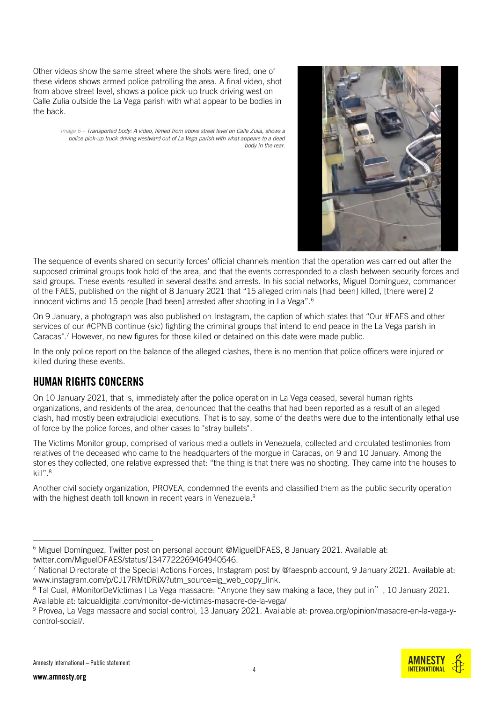Other videos show the same street where the shots were fired, one of these videos shows armed police patrolling the area. A final video, shot from above street level, shows a police pick-up truck driving west on Calle Zulia outside the La Vega parish with what appear to be bodies in the back.

> *Image 6 – Transported body[: A video, filmed from above street](https://twitter.com/jos69019501/status/1347597431253442562?) level on Calle Zulia, shows a [police pick-up truck driving westward out of La Vega parish with what appears to a dead](https://twitter.com/jos69019501/status/1347597431253442562?)  [body in the rear.](https://twitter.com/jos69019501/status/1347597431253442562?)*



**INTERNATIONAL** 

The sequence of events shared on security forces' official channels mention that the operation was carried out after the supposed criminal groups took hold of the area, and that the events corresponded to a clash between security forces and said groups. These events resulted in several deaths and arrests. In his social networks, Miguel Domínguez, commander of the FAES, published on the night of 8 January 2021 that "15 alleged criminals [had been] killed, [there were] 2 innocent victims and 15 people [had been] arrested after shooting in La Vega".<sup>6</sup>

On 9 January, a photograph was also published on Instagram, the caption of which states that "Our #FAES and other services of our #CPNB continue (sic) fighting the criminal groups that intend to end peace in the La Vega parish in Caracas".<sup>7</sup> However, no new figures for those killed or detained on this date were made public.

In the only police report on the balance of the alleged clashes, there is no mention that police officers were injured or killed during these events.

## HUMAN RIGHTS CONCERNS

On 10 January 2021, that is, immediately after the police operation in La Vega ceased, several human rights organizations, and residents of the area, denounced that the deaths that had been reported as a result of an alleged clash, had mostly been extrajudicial executions. That is to say, some of the deaths were due to the intentionally lethal use of force by the police forces, and other cases to "stray bullets".

The Victims Monitor group, comprised of various media outlets in Venezuela, collected and circulated testimonies from relatives of the deceased who came to the headquarters of the morgue in Caracas, on 9 and 10 January. Among the stories they collected, one relative expressed that: "the thing is that there was no shooting. They came into the houses to kill".<sup>8</sup>

Another civil society organization, PROVEA, condemned the events and classified them as the public security operation with the highest death toll known in recent years in Venezuela. 9

<sup>6</sup> Miguel Domínguez, Twitter post on personal account @MiguelDFAES, 8 January 2021. Available at: twitter.com/MiguelDFAES/status/1347722269464940546.

<sup>&</sup>lt;sup>7</sup> National Directorate of the Special Actions Forces, Instagram post by @faespnb account, 9 January 2021. Available at: [www.instagram.com/p/CJ17RMtDRiX/?utm\\_source=ig\\_web\\_copy\\_link.](http://www.instagram.com/p/CJ17RMtDRiX/?utm_source=ig_web_copy_link)

<sup>&</sup>lt;sup>8</sup> Tal Cual, #MonitorDeVíctimas I La Vega massacre: "Anyone they saw making a face, they put in", 10 January 2021. Available at: [talcualdigital.com/monitor-de-victimas-masacre-de-la-vega/](https://talcualdigital.com/monitor-de-victimas-masacre-de-la-vega/)

<sup>9</sup> Provea, La Vega massacre and social control, 13 January 2021. Available at: provea.org/opinion/masacre-en-la-vega-ycontrol-social/.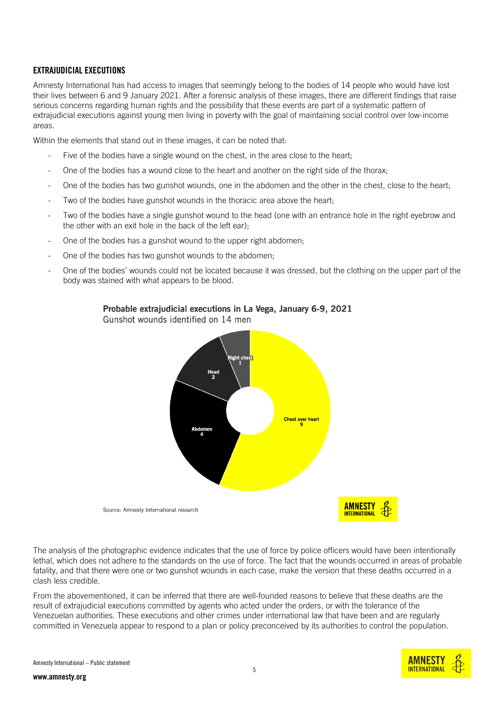#### EXTRAJUDICIAL EXECUTIONS

Amnesty International has had access to images that seemingly belong to the bodies of 14 people who would have lost their lives between 6 and 9 January 2021. After a forensic analysis of these images, there are different findings that raise serious concerns regarding human rights and the possibility that these events are part of a systematic pattern of extrajudicial executions against young men living in poverty with the goal of maintaining social control over low-income areas.

Within the elements that stand out in these images, it can be noted that:

- Five of the bodies have a single wound on the chest, in the area close to the heart;
- One of the bodies has a wound close to the heart and another on the right side of the thorax;
- One of the bodies has two gunshot wounds, one in the abdomen and the other in the chest, close to the heart;
- Two of the bodies have gunshot wounds in the thoracic area above the heart;
- Two of the bodies have a single gunshot wound to the head (one with an entrance hole in the right eyebrow and the other with an exit hole in the back of the left ear);
- One of the bodies has a gunshot wound to the upper right abdomen;
- One of the bodies has two gunshot wounds to the abdomen;
- One of the bodies' wounds could not be located because it was dressed, but the clothing on the upper part of the body was stained with what appears to be blood.



Probable extrajudicial executions in La Vega, January 6-9, 2021

Gunshot wounds identified on 14 men

The analysis of the photographic evidence indicates that the use of force by police officers would have been intentionally lethal, which does not adhere to the standards on the use of force. The fact that the wounds occurred in areas of probable fatality, and that there were one or two gunshot wounds in each case, make the version that these deaths occurred in a clash less credible.

From the abovementioned, it can be inferred that there are well-founded reasons to believe that these deaths are the result of extrajudicial executions committed by agents who acted under the orders, or with the tolerance of the Venezuelan authorities. These executions and other crimes under international law that have been and are regularly committed in Venezuela appear to respond to a plan or policy preconceived by its authorities to control the population.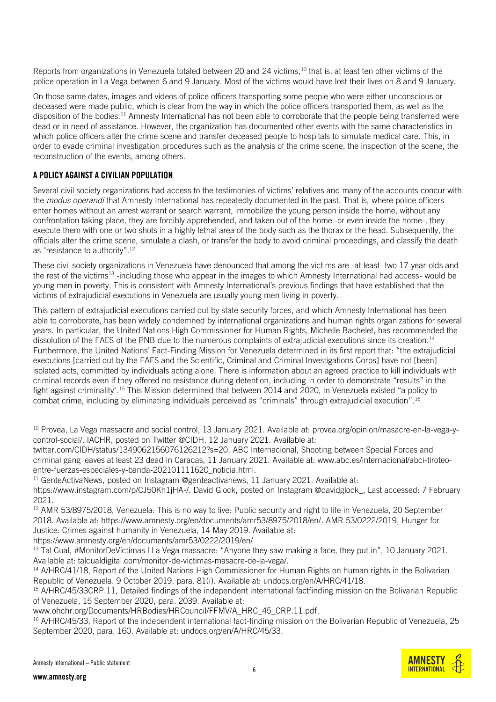Reports from organizations in Venezuela totaled between 20 and 24 victims,<sup>10</sup> that is, at least ten other victims of the police operation in La Vega between 6 and 9 January. Most of the victims would have lost their lives on 8 and 9 January.

On those same dates, images and videos of police officers transporting some people who were either unconscious or deceased were made public, which is clear from the way in which the police officers transported them, as well as the disposition of the bodies.<sup>11</sup> Amnesty International has not been able to corroborate that the people being transferred were dead or in need of assistance. However, the organization has documented other events with the same characteristics in which police officers alter the crime scene and transfer deceased people to hospitals to simulate medical care. This, in order to evade criminal investigation procedures such as the analysis of the crime scene, the inspection of the scene, the reconstruction of the events, among others.

#### A POLICY AGAINST A CIVILIAN POPULATION

Several civil society organizations had access to the testimonies of victims' relatives and many of the accounts concur with the *modus operandi* that Amnesty International has repeatedly documented in the past. That is, where police officers enter homes without an arrest warrant or search warrant, immobilize the young person inside the home, without any confrontation taking place, they are forcibly apprehended, and taken out of the home -or even inside the home-, they execute them with one or two shots in a highly lethal area of the body such as the thorax or the head. Subsequently, the officials alter the crime scene, simulate a clash, or transfer the body to avoid criminal proceedings, and classify the death as "resistance to authority".<sup>12</sup>

These civil society organizations in Venezuela have denounced that among the victims are -at least- two 17-year-olds and the rest of the victims<sup>13</sup> -including those who appear in the images to which Amnesty International had access- would be young men in poverty. This is consistent with Amnesty International's previous findings that have established that the victims of extrajudicial executions in Venezuela are usually young men living in poverty.

This pattern of extrajudicial executions carried out by state security forces, and which Amnesty International has been able to corroborate, has been widely condemned by international organizations and human rights organizations for several years. In particular, the United Nations High Commissioner for Human Rights, Michelle Bachelet, has recommended the dissolution of the FAES of the PNB due to the numerous complaints of extrajudicial executions since its creation.<sup>14</sup> Furthermore, the United Nations' Fact-Finding Mission for Venezuela determined in its first report that: "the extrajudicial executions [carried out by the FAES and the Scientific, Criminal and Criminal Investigations Corps] have not [been] isolated acts, committed by individuals acting alone. There is information about an agreed practice to kill individuals with criminal records even if they offered no resistance during detention, including in order to demonstrate "results" in the fight against criminality". <sup>15</sup> This Mission determined that between 2014 and 2020, in Venezuela existed "a policy to combat crime, including by eliminating individuals perceived as "criminals" through extrajudicial execution".<sup>16</sup>

 $11$  GenteActivaNews, posted on Instagram @genteactivanews, 11 January 2021. Available at:

https://www.amnesty.org/en/documents/amr53/0222/2019/en/

www.amnesty.org

<sup>&</sup>lt;sup>10</sup> Provea, La Vega massacre and social control, 13 January 2021. Available at: provea.org/opinion/masacre-en-la-vega-ycontrol-social/. IACHR, posted on Twitter @CIDH, 12 January 2021. Available at:

[twitter.com/CIDH/status/1349062156076126212?s=20.](https://twitter.com/CIDH/status/1349062156076126212?s=20) ABC Internacional, Shooting between Special Forces and criminal gang leaves at least 23 dead in Caracas, 11 January 2021. Available at: [www.abc.es/internacional/abci-tiroteo](https://www.abc.es/internacional/abci-tiroteo-entre-fuerzas-especiales-y-banda-202101111620_noticia.html)entre-fuerzas-especiales-y-banda-202101111620 noticia.html.

[https://www.instagram.com/p/CJ50Kh1jHA-/.](https://www.instagram.com/p/CJ50Kh1jHA-/) David Glock, posted on Instagram @davidglock\_, Last accessed: 7 February 2021.

<sup>&</sup>lt;sup>12</sup> AMR 53/8975/2018, Venezuela: This is no way to live: Public security and right to life in Venezuela, 20 September 2018. Available at: [https://www.amnesty.org/en/documents/amr53/8975/2018/en/.](https://www.amnesty.org/en/documents/amr53/8975/2018/en/) AMR 53/0222/2019, Hunger for Justice: Crimes against humanity in Venezuela, 14 May 2019. Available at:

<sup>&</sup>lt;sup>13</sup> Tal Cual, #MonitorDeVíctimas | La Vega massacre: "Anyone they saw making a face, they put in", 10 January 2021. Available at: [talcualdigital.com/monitor-de-victimas-masacre-de-la-vega/.](https://talcualdigital.com/monitor-de-victimas-masacre-de-la-vega/)

<sup>&</sup>lt;sup>14</sup> A/HRC/41/18, Report of the United Nations High Commissioner for Human Rights on human rights in the Bolivarian Republic of Venezuela. 9 October 2019, para. 81(i). Available at: [undocs.org/en/A/HRC/41/18.](https://undocs.org/en/A/HRC/41/18)

<sup>&</sup>lt;sup>15</sup> A/HRC/45/33CRP.11, Detailed findings of the independent international factfinding mission on the Bolivarian Republic of Venezuela, 15 September 2020, para. 2039. Available at:

[www.ohchr.org/Documents/HRBodies/HRCouncil/FFMV/A\\_HRC\\_45\\_CRP.11.pdf.](http://www.ohchr.org/Documents/HRBodies/HRCouncil/FFMV/A_HRC_45_CRP.11.pdf)

<sup>&</sup>lt;sup>16</sup> A/HRC/45/33, Report of the independent international fact-finding mission on the Bolivarian Republic of Venezuela, 25 September 2020, para. 160. Available at: undocs.org/en/A/HRC/45/33.